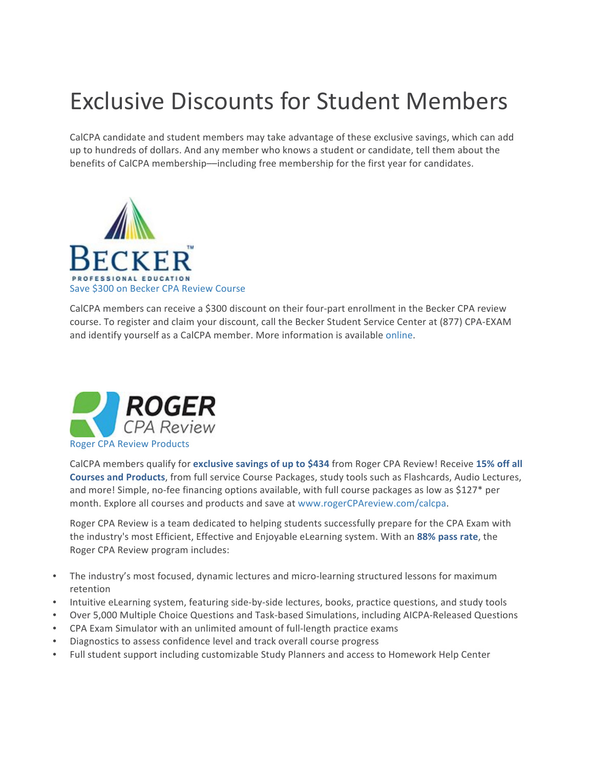## Exclusive Discounts for Student Members

CalCPA candidate and student members may take advantage of these exclusive savings, which can add up to hundreds of dollars. And any member who knows a student or candidate, tell them about the benefits of CalCPA membership—including free membership for the first year for candidates.



CalCPA members can receive a \$300 discount on their four-part enrollment in the Becker CPA review course. To register and claim your discount, call the Becker Student Service Center at (877) CPA-EXAM and identify yourself as a CalCPA member. More information is available online.



CalCPA members qualify for exclusive savings of up to \$434 from Roger CPA Review! Receive 15% off all **Courses and Products**, from full service Course Packages, study tools such as Flashcards, Audio Lectures, and more! Simple, no-fee financing options available, with full course packages as low as \$127\* per month. Explore all courses and products and save at www.rogerCPAreview.com/calcpa.

Roger CPA Review is a team dedicated to helping students successfully prepare for the CPA Exam with the industry's most Efficient, Effective and Enjoyable eLearning system. With an 88% pass rate, the Roger CPA Review program includes:

- The industry's most focused, dynamic lectures and micro-learning structured lessons for maximum retention
- Intuitive eLearning system, featuring side-by-side lectures, books, practice questions, and study tools
- Over 5,000 Multiple Choice Questions and Task-based Simulations, including AICPA-Released Questions
- CPA Exam Simulator with an unlimited amount of full-length practice exams
- Diagnostics to assess confidence level and track overall course progress
- Full student support including customizable Study Planners and access to Homework Help Center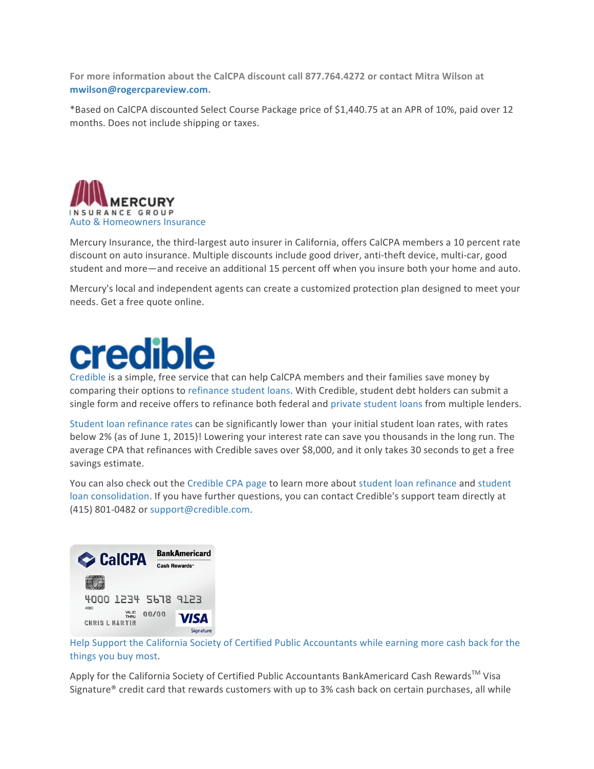For more information about the CalCPA discount call 877.764.4272 or contact Mitra Wilson at **mwilson@rogercpareview.com.**

\*Based on CalCPA discounted Select Course Package price of \$1,440.75 at an APR of 10%, paid over 12 months. Does not include shipping or taxes.



Mercury Insurance, the third-largest auto insurer in California, offers CalCPA members a 10 percent rate discount on auto insurance. Multiple discounts include good driver, anti-theft device, multi-car, good student and more—and receive an additional 15 percent off when you insure both your home and auto.

Mercury's local and independent agents can create a customized protection plan designed to meet your needs. Get a free quote online.

## credible

Credible is a simple, free service that can help CalCPA members and their families save money by comparing their options to refinance student loans. With Credible, student debt holders can submit a single form and receive offers to refinance both federal and private student loans from multiple lenders.

Student loan refinance rates can be significantly lower than your initial student loan rates, with rates below 2% (as of June 1, 2015)! Lowering your interest rate can save you thousands in the long run. The average CPA that refinances with Credible saves over \$8,000, and it only takes 30 seconds to get a free savings estimate.

You can also check out the Credible CPA page to learn more about student loan refinance and student loan consolidation. If you have further questions, you can contact Credible's support team directly at (415) 801-0482 or support@credible.com.



Help Support the California Society of Certified Public Accountants while earning more cash back for the things you buy most.

Apply for the California Society of Certified Public Accountants BankAmericard Cash Rewards<sup>™</sup> Visa Signature® credit card that rewards customers with up to 3% cash back on certain purchases, all while